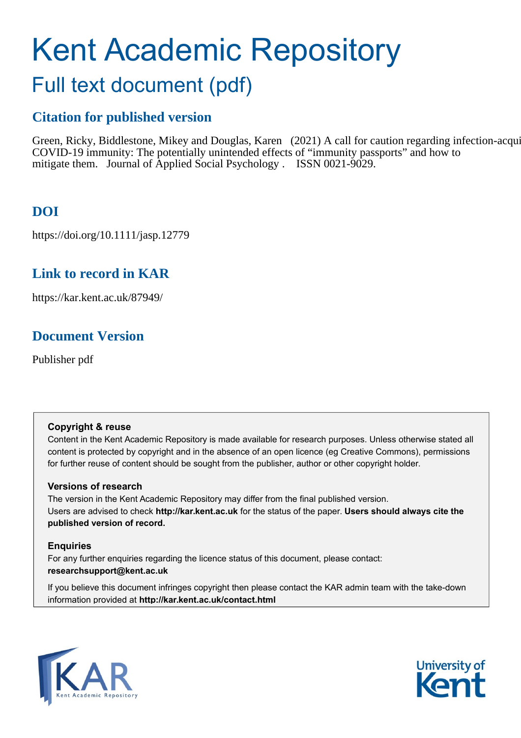# Kent Academic Repository

# Full text document (pdf)

# **Citation for published version**

Green, Ricky, Biddlestone, Mikey and Douglas, Karen (2021) A call for caution regarding infection-acquired COVID-19 immunity: The potentially unintended effects of "immunity passports" and how to mitigate them. Journal of Applied Social Psychology . ISSN 0021-9029.

# **DOI**

https://doi.org/10.1111/jasp.12779

# **Link to record in KAR**

https://kar.kent.ac.uk/87949/

# **Document Version**

Publisher pdf

#### **Copyright & reuse**

Content in the Kent Academic Repository is made available for research purposes. Unless otherwise stated all content is protected by copyright and in the absence of an open licence (eg Creative Commons), permissions for further reuse of content should be sought from the publisher, author or other copyright holder.

#### **Versions of research**

The version in the Kent Academic Repository may differ from the final published version. Users are advised to check **http://kar.kent.ac.uk** for the status of the paper. **Users should always cite the published version of record.**

#### **Enquiries**

For any further enquiries regarding the licence status of this document, please contact: **researchsupport@kent.ac.uk**

If you believe this document infringes copyright then please contact the KAR admin team with the take-down information provided at **http://kar.kent.ac.uk/contact.html**



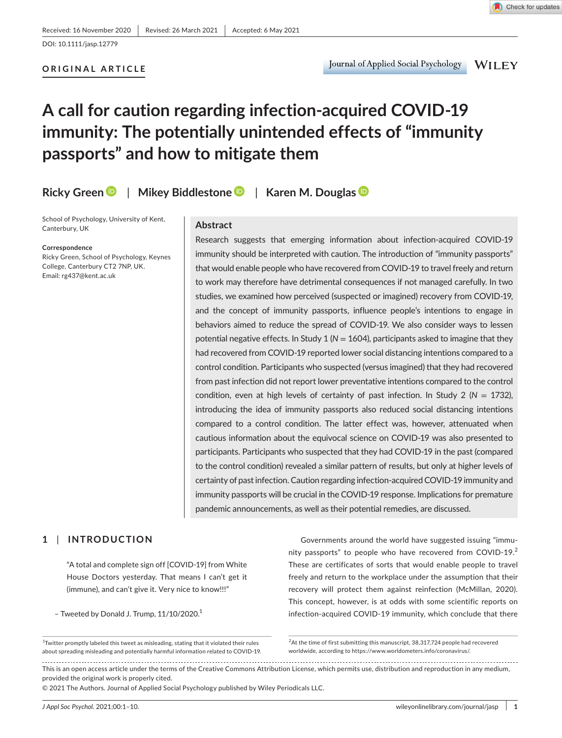### **ORIGINAL ARTICLE**

**WILEY** 

# **A call for caution regarding infection-acquired COVID-19 immunity: The potentially unintended effects of "immunity passports" and how to mitigate them**

**Ricky Gree[n](https://orcid.org/0000-0001-7634-3024)** | **Mikey Biddlestone** | **Karen M. Douglas**

School of Psychology, University of Kent, Canterbury, UK

#### **Correspondence**

Ricky Green, School of Psychology, Keynes College, Canterbury CT2 7NP, UK. Email: [rg437@kent.ac.uk](mailto:rg437@kent.ac.uk)

#### **Abstract**

Research suggests that emerging information about infection-acquired COVID-19 immunity should be interpreted with caution. The introduction of "immunity passports" that would enable people who have recovered from COVID-19 to travel freely and return to work may therefore have detrimental consequences if not managed carefully. In two studies, we examined how perceived (suspected or imagined) recovery from COVID-19, and the concept of immunity passports, influence people's intentions to engage in behaviors aimed to reduce the spread of COVID-19. We also consider ways to lessen potential negative effects. In Study 1 (*N* = 1604), participants asked to imagine that they had recovered from COVID-19 reported lower social distancing intentions compared to a control condition. Participants who suspected (versus imagined) that they had recovered from past infection did not report lower preventative intentions compared to the control condition, even at high levels of certainty of past infection. In Study 2 (*N* = 1732), introducing the idea of immunity passports also reduced social distancing intentions compared to a control condition. The latter effect was, however, attenuated when cautious information about the equivocal science on COVID-19 was also presented to participants. Participants who suspected that they had COVID-19 in the past (compared to the control condition) revealed a similar pattern of results, but only at higher levels of certainty of past infection. Caution regarding infection-acquired COVID-19 immunity and immunity passports will be crucial in the COVID-19 response. Implications for premature pandemic announcements, as well as their potential remedies, are discussed.

#### **1** | **INTRODUCTION**

"A total and complete sign off [COVID-19] from White House Doctors yesterday. That means I can't get it (immune), and can't give it. Very nice to know!!!"

- Tweeted by Donald J. Trump,  $11/10/2020$ .<sup>1</sup>

Governments around the world have suggested issuing "immunity passports" to people who have recovered from COVID-19.<sup>2</sup> These are certificates of sorts that would enable people to travel freely and return to the workplace under the assumption that their recovery will protect them against reinfection (McMillan, 2020). This concept, however, is at odds with some scientific reports on infection-acquired COVID-19 immunity, which conclude that there

© 2021 The Authors. Journal of Applied Social Psychology published by Wiley Periodicals LLC.

 $^4$ Twitter promptly labeled this tweet as misleading, stating that it violated their rules about spreading misleading and potentially harmful information related to COVID-19.

<sup>&</sup>lt;sup>2</sup>At the time of first submitting this manuscript, 38,317,724 people had recovered worldwide, according to <https://www.worldometers.info/coronavirus/>.

This is an open access article under the terms of the [Creative Commons Attribution](http://creativecommons.org/licenses/by/4.0/) License, which permits use, distribution and reproduction in any medium, provided the original work is properly cited.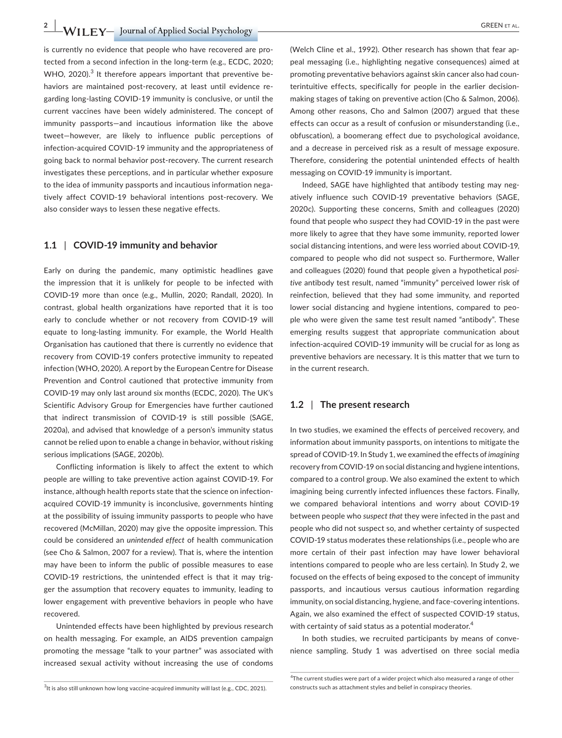**2 L Z** *CREEN ET AL.* GREEN ET AL.

is currently no evidence that people who have recovered are protected from a second infection in the long-term (e.g., ECDC, 2020; WHO, 2020).<sup>3</sup> It therefore appears important that preventive behaviors are maintained post-recovery, at least until evidence regarding long-lasting COVID-19 immunity is conclusive, or until the current vaccines have been widely administered. The concept of immunity passports—and incautious information like the above tweet—however, are likely to influence public perceptions of infection-acquired COVID-19 immunity and the appropriateness of going back to normal behavior post-recovery. The current research investigates these perceptions, and in particular whether exposure to the idea of immunity passports and incautious information negatively affect COVID-19 behavioral intentions post-recovery. We also consider ways to lessen these negative effects.

#### **1.1** | **COVID-19 immunity and behavior**

Early on during the pandemic, many optimistic headlines gave the impression that it is unlikely for people to be infected with COVID-19 more than once (e.g., Mullin, 2020; Randall, 2020). In contrast, global health organizations have reported that it is too early to conclude whether or not recovery from COVID-19 will equate to long-lasting immunity. For example, the World Health Organisation has cautioned that there is currently no evidence that recovery from COVID-19 confers protective immunity to repeated infection (WHO, 2020). A report by the European Centre for Disease Prevention and Control cautioned that protective immunity from COVID-19 may only last around six months (ECDC, 2020). The UK's Scientific Advisory Group for Emergencies have further cautioned that indirect transmission of COVID-19 is still possible (SAGE, 2020a), and advised that knowledge of a person's immunity status cannot be relied upon to enable a change in behavior, without risking serious implications (SAGE, 2020b).

Conflicting information is likely to affect the extent to which people are willing to take preventive action against COVID-19. For instance, although health reports state that the science on infectionacquired COVID-19 immunity is inconclusive, governments hinting at the possibility of issuing immunity passports to people who have recovered (McMillan, 2020) may give the opposite impression. This could be considered an *unintended effect* of health communication (see Cho & Salmon, 2007 for a review). That is, where the intention may have been to inform the public of possible measures to ease COVID-19 restrictions, the unintended effect is that it may trigger the assumption that recovery equates to immunity, leading to lower engagement with preventive behaviors in people who have recovered.

Unintended effects have been highlighted by previous research on health messaging. For example, an AIDS prevention campaign promoting the message "talk to your partner" was associated with increased sexual activity without increasing the use of condoms

(Welch Cline et al., 1992). Other research has shown that fear appeal messaging (i.e., highlighting negative consequences) aimed at promoting preventative behaviors against skin cancer also had counterintuitive effects, specifically for people in the earlier decisionmaking stages of taking on preventive action (Cho & Salmon, 2006). Among other reasons, Cho and Salmon (2007) argued that these effects can occur as a result of confusion or misunderstanding (i.e., obfuscation), a boomerang effect due to psychological avoidance, and a decrease in perceived risk as a result of message exposure. Therefore, considering the potential unintended effects of health messaging on COVID-19 immunity is important.

Indeed, SAGE have highlighted that antibody testing may negatively influence such COVID-19 preventative behaviors (SAGE, 2020c). Supporting these concerns, Smith and colleagues (2020) found that people who *suspect* they had COVID-19 in the past were more likely to agree that they have some immunity, reported lower social distancing intentions, and were less worried about COVID-19, compared to people who did not suspect so. Furthermore, Waller and colleagues (2020) found that people given a hypothetical *positive* antibody test result, named "immunity" perceived lower risk of reinfection, believed that they had some immunity, and reported lower social distancing and hygiene intentions, compared to people who were given the same test result named "antibody". These emerging results suggest that appropriate communication about infection-acquired COVID-19 immunity will be crucial for as long as preventive behaviors are necessary. It is this matter that we turn to in the current research.

#### **1.2** | **The present research**

In two studies, we examined the effects of perceived recovery, and information about immunity passports, on intentions to mitigate the spread of COVID-19. In Study 1, we examined the effects of *imagining* recovery from COVID-19 on social distancing and hygiene intentions, compared to a control group. We also examined the extent to which imagining being currently infected influences these factors. Finally, we compared behavioral intentions and worry about COVID-19 between people who *suspect that* they were infected in the past and people who did not suspect so, and whether certainty of suspected COVID-19 status moderates these relationships (i.e., people who are more certain of their past infection may have lower behavioral intentions compared to people who are less certain). In Study 2, we focused on the effects of being exposed to the concept of immunity passports, and incautious versus cautious information regarding immunity, on social distancing, hygiene, and face-covering intentions. Again, we also examined the effect of suspected COVID-19 status, with certainty of said status as a potential moderator.<sup>4</sup>

In both studies, we recruited participants by means of convenience sampling. Study 1 was advertised on three social media

<sup>&</sup>lt;sup>3</sup>It is also still unknown how long vaccine-acquired immunity will last (e.g., CDC, 2021).

<sup>&</sup>lt;sup>4</sup>The current studies were part of a wider project which also measured a range of other constructs such as attachment styles and belief in conspiracy theories.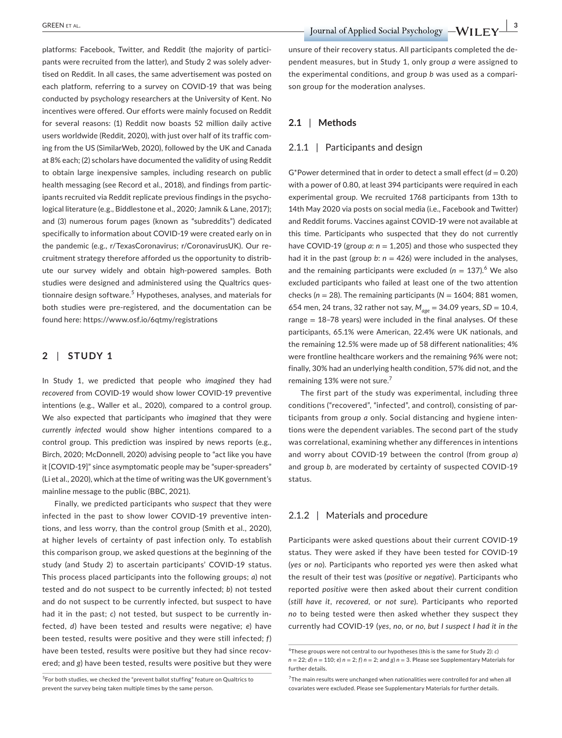platforms: Facebook, Twitter, and Reddit (the majority of participants were recruited from the latter), and Study 2 was solely advertised on Reddit. In all cases, the same advertisement was posted on each platform, referring to a survey on COVID-19 that was being conducted by psychology researchers at the University of Kent. No incentives were offered. Our efforts were mainly focused on Reddit for several reasons: (1) Reddit now boasts 52 million daily active users worldwide (Reddit, 2020), with just over half of its traffic coming from the US (SimilarWeb, 2020), followed by the UK and Canada at 8% each; (2) scholars have documented the validity of using Reddit to obtain large inexpensive samples, including research on public health messaging (see Record et al., 2018), and findings from participants recruited via Reddit replicate previous findings in the psychological literature (e.g., Biddlestone et al., 2020; Jamnik & Lane, 2017); and (3) numerous forum pages (known as "subreddits") dedicated specifically to information about COVID-19 were created early on in the pandemic (e.g., r/TexasCoronavirus; r/CoronavirusUK). Our recruitment strategy therefore afforded us the opportunity to distribute our survey widely and obtain high-powered samples. Both studies were designed and administered using the Qualtrics questionnaire design software.<sup>5</sup> Hypotheses, analyses, and materials for both studies were pre-registered, and the documentation can be found here:<https://www.osf.io/6qtmy/registrations>

#### **2** | **STUDY 1**

In Study 1, we predicted that people who *imagined* they had *recovered* from COVID-19 would show lower COVID-19 preventive intentions (e.g., Waller et al., 2020), compared to a control group. We also expected that participants who *imagined* that they were *currently infected* would show higher intentions compared to a control group. This prediction was inspired by news reports (e.g., Birch, 2020; McDonnell, 2020) advising people to "act like you have it [COVID-19]" since asymptomatic people may be "super-spreaders" (Li et al., 2020), which at the time of writing was the UK government's mainline message to the public (BBC, 2021).

Finally, we predicted participants who *suspect* that they were infected in the past to show lower COVID-19 preventive intentions, and less worry, than the control group (Smith et al., 2020), at higher levels of certainty of past infection only. To establish this comparison group, we asked questions at the beginning of the study (and Study 2) to ascertain participants' COVID-19 status. This process placed participants into the following groups; *a*) not tested and do not suspect to be currently infected; *b*) not tested and do not suspect to be currently infected, but suspect to have had it in the past; *c*) not tested, but suspect to be currently infected, *d*) have been tested and results were negative; *e*) have been tested, results were positive and they were still infected; *f*) have been tested, results were positive but they had since recovered; and *g*) have been tested, results were positive but they were

unsure of their recovery status. All participants completed the dependent measures, but in Study 1, only group *a* were assigned to the experimental conditions, and group *b* was used as a comparison group for the moderation analyses.

#### **2.1** | **Methods**

#### 2.1.1 | Participants and design

G\*Power determined that in order to detect a small effect  $(d = 0.20)$ with a power of 0.80, at least 394 participants were required in each experimental group. We recruited 1768 participants from 13th to 14th May 2020 via posts on social media (i.e., Facebook and Twitter) and Reddit forums. Vaccines against COVID-19 were not available at this time. Participants who suspected that they do not currently have COVID-19 (group  $a: n = 1,205$ ) and those who suspected they had it in the past (group  $b: n = 426$ ) were included in the analyses, and the remaining participants were excluded ( $n = 137$ ).<sup>6</sup> We also excluded participants who failed at least one of the two attention checks ( $n = 28$ ). The remaining participants ( $N = 1604$ ; 881 women, 654 men, 24 trans, 32 rather not say, *Mage* = 34.09 years, *SD* = 10.4, range  $= 18 - 78$  years) were included in the final analyses. Of these participants, 65.1% were American, 22.4% were UK nationals, and the remaining 12.5% were made up of 58 different nationalities; 4% were frontline healthcare workers and the remaining 96% were not; finally, 30% had an underlying health condition, 57% did not, and the remaining 13% were not sure.<sup>7</sup>

The first part of the study was experimental, including three conditions ("recovered", "infected", and control), consisting of participants from group *a* only. Social distancing and hygiene intentions were the dependent variables. The second part of the study was correlational, examining whether any differences in intentions and worry about COVID-19 between the control (from group *a*) and group *b*, are moderated by certainty of suspected COVID-19 status.

#### 2.1.2 | Materials and procedure

Participants were asked questions about their current COVID-19 status. They were asked if they have been tested for COVID-19 (*yes* or *no*). Participants who reported *yes* were then asked what the result of their test was (*positive* or *negative*). Participants who reported *positive* were then asked about their current condition (*still have it*, *recovered*, or *not sure*). Participants who reported *no* to being tested were then asked whether they suspect they currently had COVID-19 (*yes*, *no*, or *no, but I suspect I had it in the* 

<sup>&</sup>lt;sup>5</sup>For both studies, we checked the "prevent ballot stuffing" feature on Qualtrics to prevent the survey being taken multiple times by the same person.

<sup>6</sup> These groups were not central to our hypotheses (this is the same for Study 2): *c*)  $n = 22$ ; *d*)  $n = 110$ ; *e*)  $n = 2$ ; *f*)  $n = 2$ ; and *g*)  $n = 3$ . Please see Supplementary Materials for further details.

<sup>&</sup>lt;sup>7</sup>The main results were unchanged when nationalities were controlled for and when all covariates were excluded. Please see Supplementary Materials for further details.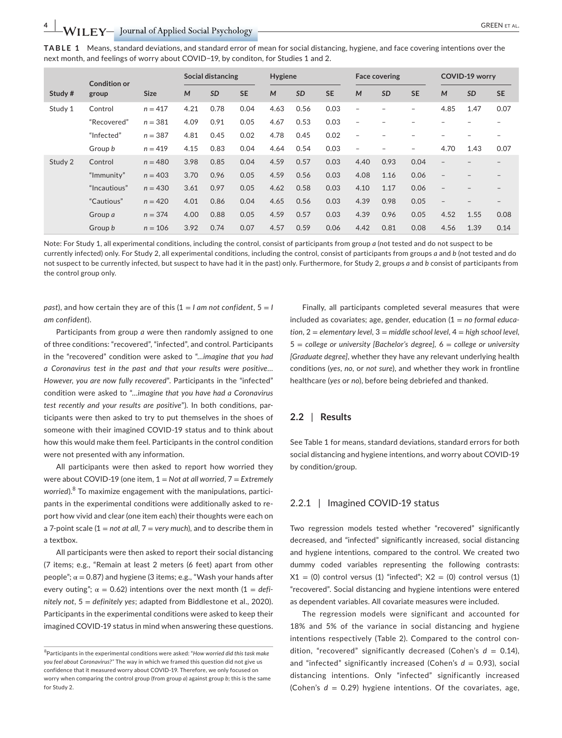| <b>GREEN FT AL.</b> |  |
|---------------------|--|
|---------------------|--|

**TABLE 1** Means, standard deviations, and standard error of mean for social distancing, hygiene, and face covering intentions over the next month, and feelings of worry about COVID−19, by conditon, for Studies 1 and 2.

|         | <b>Condition or</b> |             |      | Social distancing |           | Hygiene |           |           |                          | <b>Face covering</b>     |                          |                          | <b>COVID-19 worry</b> |           |
|---------|---------------------|-------------|------|-------------------|-----------|---------|-----------|-----------|--------------------------|--------------------------|--------------------------|--------------------------|-----------------------|-----------|
| Study # | group               | <b>Size</b> | M    | <b>SD</b>         | <b>SE</b> | M       | <b>SD</b> | <b>SE</b> | M                        | <b>SD</b>                | <b>SE</b>                | M                        | <b>SD</b>             | <b>SE</b> |
| Study 1 | Control             | $n = 417$   | 4.21 | 0.78              | 0.04      | 4.63    | 0.56      | 0.03      | ۳                        |                          | $\overline{\phantom{0}}$ | 4.85                     | 1.47                  | 0.07      |
|         | "Recovered"         | $n = 381$   | 4.09 | 0.91              | 0.05      | 4.67    | 0.53      | 0.03      | $\overline{\phantom{m}}$ |                          |                          |                          |                       |           |
|         | "Infected"          | $n = 387$   | 4.81 | 0.45              | 0.02      | 4.78    | 0.45      | 0.02      | $\overline{\phantom{0}}$ |                          |                          |                          |                       | -         |
|         | Group b             | $n = 419$   | 4.15 | 0.83              | 0.04      | 4.64    | 0.54      | 0.03      | $\overline{a}$           | $\overline{\phantom{a}}$ | -                        | 4.70                     | 1.43                  | 0.07      |
| Study 2 | Control             | $n = 480$   | 3.98 | 0.85              | 0.04      | 4.59    | 0.57      | 0.03      | 4.40                     | 0.93                     | 0.04                     | $\qquad \qquad -$        |                       |           |
|         | "Immunity"          | $n = 403$   | 3.70 | 0.96              | 0.05      | 4.59    | 0.56      | 0.03      | 4.08                     | 1.16                     | 0.06                     |                          |                       |           |
|         | "Incautious"        | $n = 430$   | 3.61 | 0.97              | 0.05      | 4.62    | 0.58      | 0.03      | 4.10                     | 1.17                     | 0.06                     |                          |                       |           |
|         | "Cautious"          | $n = 420$   | 4.01 | 0.86              | 0.04      | 4.65    | 0.56      | 0.03      | 4.39                     | 0.98                     | 0.05                     | $\overline{\phantom{a}}$ |                       | -         |
|         | Group a             | $n = 374$   | 4.00 | 0.88              | 0.05      | 4.59    | 0.57      | 0.03      | 4.39                     | 0.96                     | 0.05                     | 4.52                     | 1.55                  | 0.08      |
|         | Group b             | $n = 106$   | 3.92 | 0.74              | 0.07      | 4.57    | 0.59      | 0.06      | 4.42                     | 0.81                     | 0.08                     | 4.56                     | 1.39                  | 0.14      |

Note: For Study 1, all experimental conditions, including the control, consist of participants from group *a* (not tested and do not suspect to be currently infected) only. For Study 2, all experimental conditions, including the control, consist of participants from groups *a* and *b* (not tested and do not suspect to be currently infected, but suspect to have had it in the past) only. Furthermore, for Study 2, groups *a* and *b* consist of participants from the control group only.

*past*), and how certain they are of this (1 = *I am not confident*, 5 = *I am confident*).

Participants from group *a* were then randomly assigned to one of three conditions: "recovered", "infected", and control. Participants in the "recovered" condition were asked to "*…imagine that you had a Coronavirus test in the past and that your results were positive… However, you are now fully recovered*". Participants in the "infected" condition were asked to "*…imagine that you have had a Coronavirus test recently and your results are positive*"). In both conditions, participants were then asked to try to put themselves in the shoes of someone with their imagined COVID-19 status and to think about how this would make them feel. Participants in the control condition were not presented with any information.

All participants were then asked to report how worried they were about COVID-19 (one item, 1 = *Not at all worried*, 7 = *Extremely worried*).<sup>8</sup> To maximize engagement with the manipulations, participants in the experimental conditions were additionally asked to report how vivid and clear (one item each) their thoughts were each on a 7-point scale (1 = *not at all*, 7 = *very much*), and to describe them in a textbox.

All participants were then asked to report their social distancing (7 items; e.g., "Remain at least 2 meters (6 feet) apart from other people";  $\alpha$  = 0.87) and hygiene (3 items; e.g., "Wash your hands after every outing";  $\alpha = 0.62$ ) intentions over the next month  $(1 = defi-)$ *nitely not*, 5 = *definitely yes*; adapted from Biddlestone et al., 2020). Participants in the experimental conditions were asked to keep their imagined COVID-19 status in mind when answering these questions.

Finally, all participants completed several measures that were included as covariates; age, gender, education (1 = *no formal education*, 2 = *elementary level*, 3 = *middle school level*, 4 = *high school level*, 5 = *college or university [Bachelor's degree],* 6 = *college or university [Graduate degree]*, whether they have any relevant underlying health conditions (*yes*, *no*, or *not sure*), and whether they work in frontline healthcare (*yes* or *no*), before being debriefed and thanked.

#### **2.2** | **Results**

See Table 1 for means, standard deviations, standard errors for both social distancing and hygiene intentions, and worry about COVID-19 by condition/group.

#### 2.2.1 | Imagined COVID-19 status

Two regression models tested whether "recovered" significantly decreased, and "infected" significantly increased, social distancing and hygiene intentions, compared to the control. We created two dummy coded variables representing the following contrasts:  $X1 = (0)$  control versus (1) "infected";  $X2 = (0)$  control versus (1) "recovered". Social distancing and hygiene intentions were entered as dependent variables. All covariate measures were included.

The regression models were significant and accounted for 18% and 5% of the variance in social distancing and hygiene intentions respectively (Table 2). Compared to the control condition, "recovered" significantly decreased (Cohen's  $d = 0.14$ ), and "infected" significantly increased (Cohen's  $d = 0.93$ ), social distancing intentions. Only "infected" significantly increased (Cohen's *d* = 0.29) hygiene intentions. Of the covariates, age,

<sup>8</sup> Participants in the experimental conditions were asked: "*How worried did this task make you feel about Coronavirus?"* The way in which we framed this question did not give us confidence that it measured worry about COVID-19. Therefore, we only focused on worry when comparing the control group (from group *a*) against group *b*; this is the same for Study 2.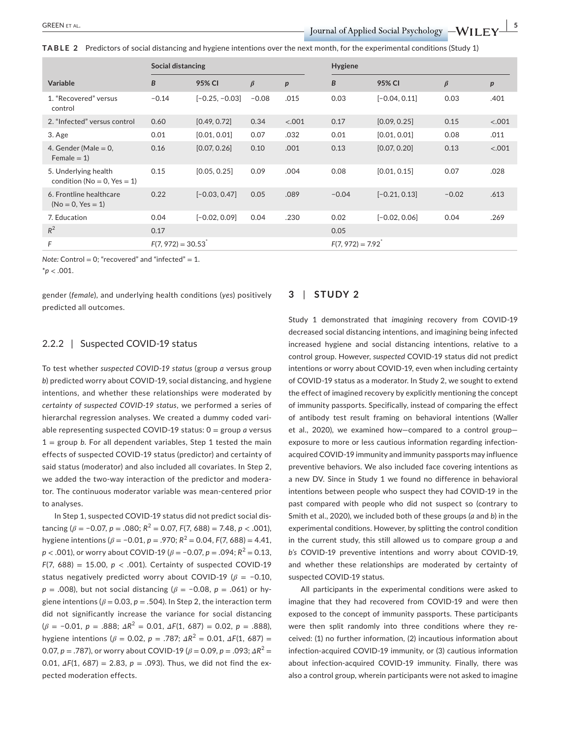**TABLE 2** Predictors of social distancing and hygiene intentions over the next month, for the experimental conditions (Study 1)

|                                                            | Social distancing   |                  |         |                  | Hygiene            |                 |         |                  |
|------------------------------------------------------------|---------------------|------------------|---------|------------------|--------------------|-----------------|---------|------------------|
| <b>Variable</b>                                            | B                   | 95% CI           | $\beta$ | $\boldsymbol{p}$ | B                  | 95% CI          | $\beta$ | $\boldsymbol{p}$ |
| 1. "Recovered" versus<br>control                           | $-0.14$             | $[-0.25, -0.03]$ | $-0.08$ | .015             | 0.03               | $[-0.04, 0.11]$ | 0.03    | .401             |
| 2. "Infected" versus control                               | 0.60                | [0.49, 0.72]     | 0.34    | < .001           | 0.17               | [0.09, 0.25]    | 0.15    | < .001           |
| 3. Age                                                     | 0.01                | [0.01, 0.01]     | 0.07    | .032             | 0.01               | [0.01, 0.01]    | 0.08    | .011             |
| 4. Gender (Male $= 0$ ,<br>$Female = 1)$                   | 0.16                | [0.07, 0.26]     | 0.10    | .001             | 0.13               | [0.07, 0.20]    | 0.13    | < .001           |
| 5. Underlying health<br>condition ( $No = 0$ , $Yes = 1$ ) | 0.15                | [0.05, 0.25]     | 0.09    | .004             | 0.08               | [0.01, 0.15]    | 0.07    | .028             |
| 6. Frontline healthcare<br>$(No = 0, Yes = 1)$             | 0.22                | $[-0.03, 0.47]$  | 0.05    | .089             | $-0.04$            | $[-0.21, 0.13]$ | $-0.02$ | .613             |
| 7. Education                                               | 0.04                | $[-0.02, 0.09]$  | 0.04    | .230             | 0.02               | $[-0.02, 0.06]$ | 0.04    | .269             |
| $R^2$                                                      | 0.17                |                  |         |                  | 0.05               |                 |         |                  |
| F                                                          | $F(7, 972) = 30.53$ |                  |         |                  | $F(7, 972) = 7.92$ |                 |         |                  |

*Note:* Control = 0; "recovered" and "infected" = 1.

\**p* < .001.

gender (*female*), and underlying health conditions (*yes*) positively predicted all outcomes.

#### **3** | **STUDY 2**

#### 2.2.2 | Suspected COVID-19 status

To test whether *suspected COVID-19 status* (group *a* versus group *b*) predicted worry about COVID-19, social distancing, and hygiene intentions, and whether these relationships were moderated by *certainty of suspected COVID-19 status*, we performed a series of hierarchal regression analyses. We created a dummy coded variable representing suspected COVID-19 status: 0 = group *a* versus  $1 =$  group *b*. For all dependent variables, Step 1 tested the main effects of suspected COVID-19 status (predictor) and certainty of said status (moderator) and also included all covariates. In Step 2, we added the two-way interaction of the predictor and moderator. The continuous moderator variable was mean-centered prior to analyses.

In Step 1, suspected COVID-19 status did not predict social distancing ( $\beta$  = -0.07,  $p$  = .080;  $R^2$  = 0.07,  $F(7, 688)$  = 7.48,  $p$  < .001), hygiene intentions ( $\beta$  = -0.01,  $p$  = .970;  $R^2$  = 0.04,  $F(7, 688)$  = 4.41, *p* < .001), or worry about COVID-19 ( $\beta$  = -0.07, *p* = .094;  $R^2$  = 0.13, *F*(7, 688) = 15.00, *p* < .001). Certainty of suspected COVID-19 status negatively predicted worry about COVID-19 (*β* = −0.10, *p* = .008), but not social distancing (*β* = −0.08, *p* = .061) or hygiene intentions ( $\beta$  = 0.03,  $p$  = .504). In Step 2, the interaction term did not significantly increase the variance for social distancing (*β* = −0.01, *p* = .888; *ΔR*<sup>2</sup> = 0.01, *ΔF*(1, 687) = 0.02, *p* = .888), hygiene intentions ( $β = 0.02$ ,  $p = .787$ ;  $ΔR^2 = 0.01$ ,  $ΔF(1, 687) =$ 0.07,  $p = .787$ ), or worry about COVID-19 ( $\beta = 0.09$ ,  $p = .093$ ;  $\Delta R^2 =$ 0.01, *ΔF*(1, 687) = 2.83, *p* = .093). Thus, we did not find the expected moderation effects.

Study 1 demonstrated that *imagining* recovery from COVID-19 decreased social distancing intentions, and imagining being infected increased hygiene and social distancing intentions, relative to a control group. However, *suspected* COVID-19 status did not predict intentions or worry about COVID-19, even when including certainty of COVID-19 status as a moderator. In Study 2, we sought to extend the effect of imagined recovery by explicitly mentioning the concept of immunity passports. Specifically, instead of comparing the effect of antibody test result framing on behavioral intentions (Waller et al., 2020), we examined how—compared to a control group exposure to more or less cautious information regarding infectionacquired COVID-19 immunity and immunity passports may influence preventive behaviors. We also included face covering intentions as a new DV. Since in Study 1 we found no difference in behavioral intentions between people who suspect they had COVID-19 in the past compared with people who did not suspect so (contrary to Smith et al., 2020), we included both of these groups (*a* and *b*) in the experimental conditions. However, by splitting the control condition in the current study, this still allowed us to compare group *a* and *b's* COVID-19 preventive intentions and worry about COVID-19, and whether these relationships are moderated by certainty of suspected COVID-19 status.

All participants in the experimental conditions were asked to imagine that they had recovered from COVID-19 and were then exposed to the concept of immunity passports. These participants were then split randomly into three conditions where they received: (1) no further information, (2) incautious information about infection-acquired COVID-19 immunity, or (3) cautious information about infection-acquired COVID-19 immunity. Finally, there was also a control group, wherein participants were not asked to imagine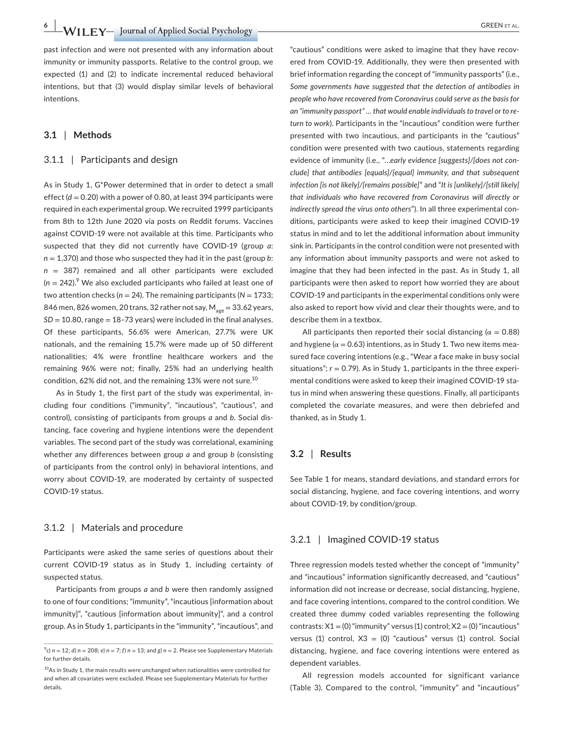**6 • WILEY** Journal of Applied Social Psychology **CONSERVALGET AL.** 

past infection and were not presented with any information about immunity or immunity passports. Relative to the control group, we expected (1) and (2) to indicate incremental reduced behavioral intentions, but that (3) would display similar levels of behavioral intentions.

#### **3.1** | **Methods**

#### 3.1.1 | Participants and design

As in Study 1, G\*Power determined that in order to detect a small effect  $(d = 0.20)$  with a power of 0.80, at least 394 participants were required in each experimental group. We recruited 1999 participants from 8th to 12th June 2020 via posts on Reddit forums. Vaccines against COVID-19 were not available at this time. Participants who suspected that they did not currently have COVID-19 (group *a*: *n* = 1,370) and those who suspected they had it in the past (group *b*: *n* = 387) remained and all other participants were excluded  $(n = 242).$ <sup>9</sup> We also excluded participants who failed at least one of two attention checks ( $n = 24$ ). The remaining participants ( $N = 1733$ ; 846 men, 826 women, 20 trans, 32 rather not say,  $M_{\text{gas}} = 33.62$  years,  $SD = 10.80$ , range  $= 18 - 73$  years) were included in the final analyses. Of these participants, 56.6% were American, 27.7% were UK nationals, and the remaining 15.7% were made up of 50 different nationalities; 4% were frontline healthcare workers and the remaining 96% were not; finally, 25% had an underlying health condition, 62% did not, and the remaining 13% were not sure.<sup>10</sup>

As in Study 1, the first part of the study was experimental, including four conditions ("immunity", "incautious", "cautious", and control), consisting of participants from groups *a* and *b*. Social distancing, face covering and hygiene intentions were the dependent variables. The second part of the study was correlational, examining whether any differences between group *a* and group *b* (consisting of participants from the control only) in behavioral intentions, and worry about COVID-19, are moderated by certainty of suspected COVID-19 status.

#### 3.1.2 | Materials and procedure

Participants were asked the same series of questions about their current COVID-19 status as in Study 1, including certainty of suspected status.

Participants from groups *a* and *b* were then randomly assigned to one of four conditions; "immunity", "incautious [information about immunity]", "cautious [information about immunity]", and a control group. As in Study 1, participants in the "immunity", "incautious", and

"cautious" conditions were asked to imagine that they have recovered from COVID-19. Additionally, they were then presented with brief information regarding the concept of "immunity passports" (i.e., *Some governments have suggested that the detection of antibodies in people who have recovered from Coronavirus could serve as the basis for an "immunity passport" … that would enable individuals to travel or to return to work*). Participants in the "incautious" condition were further presented with two incautious, and participants in the "cautious" condition were presented with two cautious, statements regarding evidence of immunity (i.e., "…*early evidence [suggests]/[does not conclude] that antibodies [equals]/[equal] immunity, and that subsequent infection [is not likely]/[remains possible]*" and "*It is [unlikely]/[still likely] that individuals who have recovered from Coronavirus will directly or indirectly spread the virus onto others*"). In all three experimental conditions, participants were asked to keep their imagined COVID-19 status in mind and to let the additional information about immunity sink in. Participants in the control condition were not presented with any information about immunity passports and were not asked to imagine that they had been infected in the past. As in Study 1, all participants were then asked to report how worried they are about COVID-19 and participants in the experimental conditions only were also asked to report how vivid and clear their thoughts were, and to describe them in a textbox.

All participants then reported their social distancing ( $\alpha = 0.88$ ) and hygiene ( $\alpha$  = 0.63) intentions, as in Study 1. Two new items measured face covering intentions (e.g., "Wear a face make in busy social situations";  $r = 0.79$ ). As in Study 1, participants in the three experimental conditions were asked to keep their imagined COVID-19 status in mind when answering these questions. Finally, all participants completed the covariate measures, and were then debriefed and thanked, as in Study 1.

#### **3.2** | **Results**

See Table 1 for means, standard deviations, and standard errors for social distancing, hygiene, and face covering intentions, and worry about COVID-19, by condition/group.

#### 3.2.1 | Imagined COVID-19 status

Three regression models tested whether the concept of "immunity" and "incautious" information significantly decreased, and "cautious" information did not increase or decrease, social distancing, hygiene, and face covering intentions, compared to the control condition. We created three dummy coded variables representing the following contrasts:  $X1 = (0)$  "immunity" versus (1) control;  $X2 = (0)$  "incautious" versus (1) control,  $X3 = (0)$  "cautious" versus (1) control. Social distancing, hygiene, and face covering intentions were entered as dependent variables.

All regression models accounted for significant variance (Table 3). Compared to the control, "immunity" and "incautious"

 $^{9}$ c)  $n = 12$ ; *d*)  $n = 208$ ; *e*)  $n = 7$ ; *f*)  $n = 13$ ; and *g*)  $n = 2$ . Please see Supplementary Materials for further details.

<sup>&</sup>lt;sup>10</sup>As in Study 1, the main results were unchanged when nationalities were controlled for and when all covariates were excluded. Please see Supplementary Materials for further details.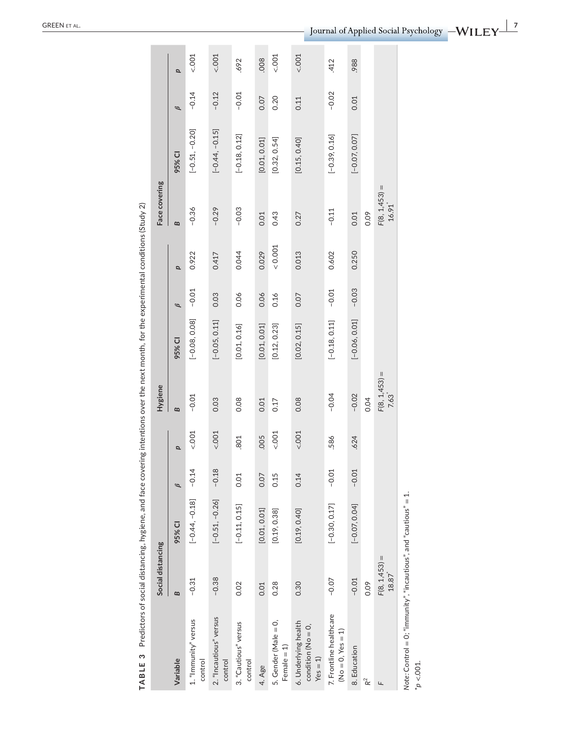| TABLE 3                                                                            |                          | Predictors of social distancing, hygiene, and face covering intentions over the next month, for the experimental conditions (Study 2) |               |        |                                      |                 |               |       |                                                      |                  |               |        |
|------------------------------------------------------------------------------------|--------------------------|---------------------------------------------------------------------------------------------------------------------------------------|---------------|--------|--------------------------------------|-----------------|---------------|-------|------------------------------------------------------|------------------|---------------|--------|
|                                                                                    | Social distancing        |                                                                                                                                       |               |        | <b>Hygiene</b>                       |                 |               |       | Face covering                                        |                  |               |        |
| Variable                                                                           | B                        | 95% CI                                                                                                                                | $\mathscr{D}$ | p      | $\mathbf{B}$                         | 95% CI          | $\mathscr{B}$ | p     | $\mathbf{z}$                                         | 95% CI           | $\mathscr{B}$ | p      |
| 1. "Immunity" versus<br>control                                                    | $-0.31$                  | $[-0.44, -0.18]$                                                                                                                      | $-0.14$       | < .001 | $-0.01$                              | $[-0.08, 0.08]$ | $-0.01$       | 0.922 | $-0.36$                                              | $[-0.51, -0.20]$ | $-0.14$       | < .001 |
| 2. "Incautious" versus<br>control                                                  | $-0.38$                  | $[-0.51, -0.26]$                                                                                                                      | $-0.18$       | < .001 | 0.03                                 | $[-0.05, 0.11]$ | 0.03          | 0.417 | $-0.29$                                              | $[-0.44, -0.15]$ | $-0.12$       | 001    |
| 3. "Cautious" versus<br>control                                                    | 0.02                     | $[-0.11, 0.15]$                                                                                                                       | 0.01          | 801    | 0.08                                 | [0.01, 0.16]    | 0.06          | 0.044 | $-0.03$                                              | $[-0.18, 0.12]$  | $-0.01$       | 692    |
| 4. Age                                                                             | 0.01                     | [0.01, 0.01]                                                                                                                          | 0.07          | .005   | 0.01                                 | [0.01, 0.01]    | 0.06          | 0.029 | 0.01                                                 | [0.01, 0.01]     | 0.07          | .008   |
| 5. Gender (Male = 0,<br>Female $= 1$ )                                             | 0.28                     | [0.19, 0.38]                                                                                                                          | 0.15          | < .001 | 0.17                                 | [0.12, 0.23]    | 0.16          | 0.001 | 0.43                                                 | [0.32, 0.54]     | 0.20          | < .001 |
| 6. Underlying health<br>condition ( $No = 0$ ,<br>$Yes = 1)$                       | 0.30                     | [0.19, 0.40]                                                                                                                          | 0.14          | < .001 | 0.08                                 | [0.02, 0.15]    | 0.07          | 0.013 | 0.27                                                 | [0.15, 0.40]     | 0.11          | < .001 |
| 7. Frontline healthcare<br>ə<br>$(No = 0, Yes =$                                   | $-0.07$                  | $[-0.30, 0.17]$                                                                                                                       | $-0.01$       | .586   | $-0.04$                              | $[-0.18, 0.11]$ | $-0.01$       | 0.602 | $-0.11$                                              | $[-0.39, 0.16]$  | $-0.02$       | 412    |
| 8. Education                                                                       | $-0.01$                  | $[-0.07, 0.04]$                                                                                                                       | $-0.01$       | 624    | $-0.02$                              | $[-0.06, 0.01]$ | $-0.03$       | 0.250 | 0.01                                                 | $[-0.07, 0.07]$  | 0.01          | ,988   |
| $R^2$                                                                              | 0.09                     |                                                                                                                                       |               |        | 0.04                                 |                 |               |       | 0.09                                                 |                  |               |        |
| Щ                                                                                  | $F(8, 1,453) =$<br>18.87 |                                                                                                                                       |               |        | $F(8, 1,453) =$<br>7.63 <sup>*</sup> |                 |               |       | $\mathsf{I}$<br>F(8, 1, 453)<br>$16.91$ <sup>*</sup> |                  |               |        |
| Note: Control = 0; "immunity", "incautious", and "cautious" = $1$ .<br>$p < 001$ . |                          |                                                                                                                                       |               |        |                                      |                 |               |       |                                                      |                  |               |        |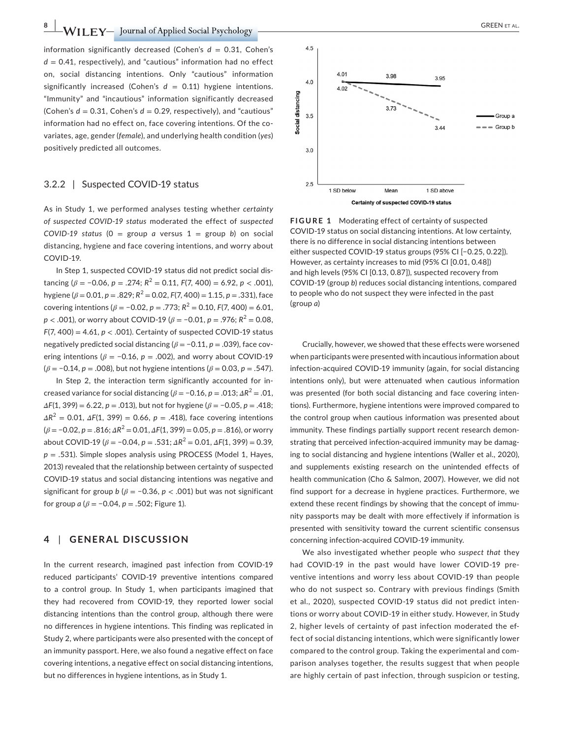$N$  **| I**  $\text{FY}-\text{Journal of Applied Social Psychology$   $\text{Social Psychology}$   $\text{Simplifying the following inequality:}$ 

information significantly decreased (Cohen's  $d = 0.31$ , Cohen's  $d = 0.41$ , respectively), and "cautious" information had no effect on, social distancing intentions. Only "cautious" information significantly increased (Cohen's  $d = 0.11$ ) hygiene intentions. "Immunity" and "incautious" information significantly decreased (Cohen's  $d = 0.31$ , Cohen's  $d = 0.29$ , respectively), and "cautious" information had no effect on, face covering intentions. Of the covariates, age, gender (*female*), and underlying health condition (*yes*) positively predicted all outcomes.

#### 3.2.2 | Suspected COVID-19 status

As in Study 1, we performed analyses testing whether *certainty of suspected COVID-19 status* moderated the effect of *suspected COVID-19 status* (0 = group *a* versus  $1 =$  group *b*) on social distancing, hygiene and face covering intentions, and worry about COVID-19.

In Step 1, suspected COVID-19 status did not predict social distancing ( $\beta$  = -0.06,  $p$  = .274;  $R^2$  = 0.11,  $F(7, 400)$  = 6.92,  $p$  < .001), hygiene ( $\beta$  = 0.01,  $p$  = .829;  $R^2$  = 0.02,  $F(7, 400)$  = 1.15,  $p$  = .331), face covering intentions ( $\beta$  = -0.02,  $p$  = .773;  $R^2$  = 0.10,  $F(7, 400)$  = 6.01, *p* < .001), or worry about COVID-19 ( $\beta$  = -0.01, *p* = .976;  $R^2$  = 0.08, *F*(7, 400) = 4.61, *p* < .001). Certainty of suspected COVID-19 status negatively predicted social distancing (*β* = −0.11, *p* = .039), face covering intentions ( $\beta$  = -0.16,  $p$  = .002), and worry about COVID-19 (*β* = −0.14, *p* = .008), but not hygiene intentions (*β* = 0.03, *p* = .547).

In Step 2, the interaction term significantly accounted for increased variance for social distancing ( $\beta$  = -0.16,  $p$  = .013;  $\Delta R^2$  = .01, *ΔF*(1, 399) = 6.22, *p* = .013), but not for hygiene (*β* = −0.05, *p* = .418; *ΔR*<sup>2</sup> = 0.01, *ΔF*(1, 399) = 0.66, *p* = .418), face covering intentions  $(\beta = -0.02, p = .816; \Delta R^2 = 0.01, \Delta F(1, 399) = 0.05, p = .816)$ , or worry about COVID-19 ( $\beta$  = -0.04,  $p = .531$ ;  $\Delta R^2 = 0.01$ ,  $\Delta F(1, 399) = 0.39$ , *p* = .531). Simple slopes analysis using PROCESS (Model 1, Hayes, 2013) revealed that the relationship between certainty of suspected COVID-19 status and social distancing intentions was negative and significant for group *b* (*β* = −0.36, *p* < .001) but was not significant for group *a* ( $\beta$  = -0.04, *p* = .502; Figure 1).

#### **4** | **GENERAL DISCUSSION**

In the current research, imagined past infection from COVID-19 reduced participants' COVID-19 preventive intentions compared to a control group. In Study 1, when participants imagined that they had recovered from COVID-19, they reported lower social distancing intentions than the control group, although there were no differences in hygiene intentions. This finding was replicated in Study 2, where participants were also presented with the concept of an immunity passport. Here, we also found a negative effect on face covering intentions, a negative effect on social distancing intentions, but no differences in hygiene intentions, as in Study 1.





 $4.5$ 

 $4.0$ 

COVID-19 status on social distancing intentions. At low certainty, there is no difference in social distancing intentions between either suspected COVID-19 status groups (95% CI [−0.25, 0.22]). However, as certainty increases to mid (95% CI [0.01, 0.48]) and high levels (95% CI [0.13, 0.87]), suspected recovery from COVID-19 (group *b*) reduces social distancing intentions, compared to people who do not suspect they were infected in the past (group *a*)

Crucially, however, we showed that these effects were worsened when participants were presented with incautious information about infection-acquired COVID-19 immunity (again, for social distancing intentions only), but were attenuated when cautious information was presented (for both social distancing and face covering intentions). Furthermore, hygiene intentions were improved compared to the control group when cautious information was presented about immunity. These findings partially support recent research demonstrating that perceived infection-acquired immunity may be damaging to social distancing and hygiene intentions (Waller et al., 2020), and supplements existing research on the unintended effects of health communication (Cho & Salmon, 2007). However, we did not find support for a decrease in hygiene practices. Furthermore, we extend these recent findings by showing that the concept of immunity passports may be dealt with more effectively if information is presented with sensitivity toward the current scientific consensus concerning infection-acquired COVID-19 immunity.

We also investigated whether people who *suspect that* they had COVID-19 in the past would have lower COVID-19 preventive intentions and worry less about COVID-19 than people who do not suspect so. Contrary with previous findings (Smith et al., 2020), suspected COVID-19 status did not predict intentions or worry about COVID-19 in either study. However, in Study 2, higher levels of certainty of past infection moderated the effect of social distancing intentions, which were significantly lower compared to the control group. Taking the experimental and comparison analyses together, the results suggest that when people are highly certain of past infection, through suspicion or testing,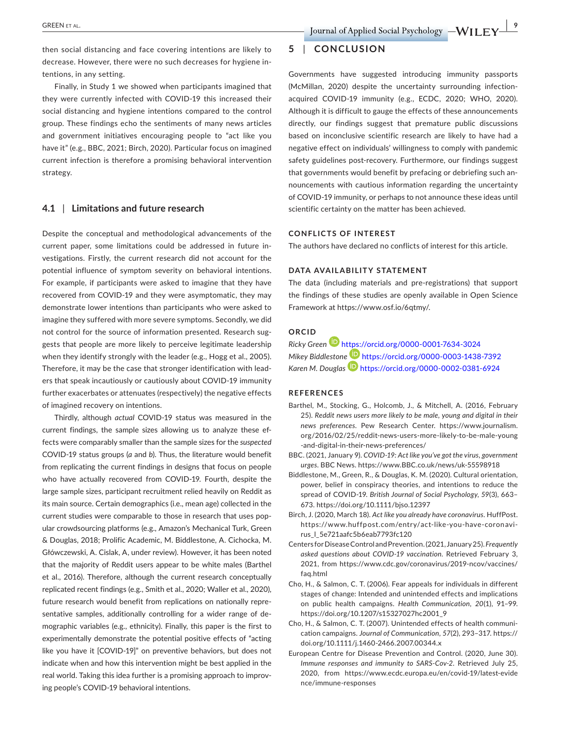then social distancing and face covering intentions are likely to decrease. However, there were no such decreases for hygiene intentions, in any setting.

Finally, in Study 1 we showed when participants imagined that they were currently infected with COVID-19 this increased their social distancing and hygiene intentions compared to the control group. These findings echo the sentiments of many news articles and government initiatives encouraging people to "act like you have it" (e.g., BBC, 2021; Birch, 2020). Particular focus on imagined current infection is therefore a promising behavioral intervention strategy.

#### **4.1** | **Limitations and future research**

Despite the conceptual and methodological advancements of the current paper, some limitations could be addressed in future investigations. Firstly, the current research did not account for the potential influence of symptom severity on behavioral intentions. For example, if participants were asked to imagine that they have recovered from COVID-19 and they were asymptomatic, they may demonstrate lower intentions than participants who were asked to imagine they suffered with more severe symptoms. Secondly, we did not control for the source of information presented. Research suggests that people are more likely to perceive legitimate leadership when they identify strongly with the leader (e.g., Hogg et al., 2005). Therefore, it may be the case that stronger identification with leaders that speak incautiously or cautiously about COVID-19 immunity further exacerbates or attenuates (respectively) the negative effects of imagined recovery on intentions.

Thirdly, although *actual* COVID-19 status was measured in the current findings, the sample sizes allowing us to analyze these effects were comparably smaller than the sample sizes for the *suspected* COVID-19 status groups (*a* and *b*). Thus, the literature would benefit from replicating the current findings in designs that focus on people who have actually recovered from COVID-19. Fourth, despite the large sample sizes, participant recruitment relied heavily on Reddit as its main source. Certain demographics (i.e., mean age) collected in the current studies were comparable to those in research that uses popular crowdsourcing platforms (e.g., Amazon's Mechanical Turk, Green & Douglas, 2018; Prolific Academic, M. Biddlestone, A. Cichocka, M. Główczewski, A. Cislak, A, under review). However, it has been noted that the majority of Reddit users appear to be white males (Barthel et al., 2016). Therefore, although the current research conceptually replicated recent findings (e.g., Smith et al., 2020; Waller et al., 2020), future research would benefit from replications on nationally representative samples, additionally controlling for a wider range of demographic variables (e.g., ethnicity). Finally, this paper is the first to experimentally demonstrate the potential positive effects of "acting like you have it [COVID-19]" on preventive behaviors, but does not indicate when and how this intervention might be best applied in the real world. Taking this idea further is a promising approach to improving people's COVID-19 behavioral intentions.

#### **5** | **CONCLUSION**

Governments have suggested introducing immunity passports (McMillan, 2020) despite the uncertainty surrounding infectionacquired COVID-19 immunity (e.g., ECDC, 2020; WHO, 2020). Although it is difficult to gauge the effects of these announcements directly, our findings suggest that premature public discussions based on inconclusive scientific research are likely to have had a negative effect on individuals' willingness to comply with pandemic safety guidelines post-recovery. Furthermore, our findings suggest that governments would benefit by prefacing or debriefing such announcements with cautious information regarding the uncertainty of COVID-19 immunity, or perhaps to not announce these ideas until scientific certainty on the matter has been achieved.

#### **CONFLICTS OF INTEREST**

The authors have declared no conflicts of interest for this article.

#### **DATA AVAILABILITY STATEMENT**

The data (including materials and pre-registrations) that support the findings of these studies are openly available in Open Science Framework at<https://www.osf.io/6qtmy/>.

#### **ORCID**

*Ricky Green* <https://orcid.org/0000-0001-7634-3024> *Mikey Biddleston[e](https://orcid.org/0000-0002-0381-6924)* <https://orcid.org/0000-0003-1438-7392> *Karen M. Douglas* <https://orcid.org/0000-0002-0381-6924>

#### **REFERENCES**

- Barthel, M., Stocking, G., Holcomb, J., & Mitchell, A. (2016, February 25). *Reddit news users more likely to be male, young and digital in their news preferences*. Pew Research Center. [https://www.journalism.](https://www.journalism.org/2016/02/25/reddit-news-users-more-likely-to-be-male-young-and-digital-in-their-news-preferences/) [org/2016/02/25/reddit-news-users-more-likely-to-be-male-young](https://www.journalism.org/2016/02/25/reddit-news-users-more-likely-to-be-male-young-and-digital-in-their-news-preferences/) [-and-digital-in-their-news-preferences/](https://www.journalism.org/2016/02/25/reddit-news-users-more-likely-to-be-male-young-and-digital-in-their-news-preferences/)
- BBC. (2021, January 9). *COVID-19: Act like you've got the virus, government urges*. BBC News. <https://www.BBC.co.uk/news/uk-55598918>
- Biddlestone, M., Green, R., & Douglas, K. M. (2020). Cultural orientation, power, belief in conspiracy theories, and intentions to reduce the spread of COVID-19. *British Journal of Social Psychology*, *59*(3), 663– 673. <https://doi.org/10.1111/bjso.12397>
- Birch, J. (2020, March 18). *Act like you already have coronavirus*. HuffPost. [https://www.huffpost.com/entry/act-like-you-have-coronavi](https://www.huffpost.com/entry/act-like-you-have-coronavirus_l_5e721aafc5b6eab7793fc120)[rus\\_l\\_5e721aafc5b6eab7793fc120](https://www.huffpost.com/entry/act-like-you-have-coronavirus_l_5e721aafc5b6eab7793fc120)
- Centers for Disease Control and Prevention. (2021, January 25). *Frequently asked questions about COVID-19 vaccination*. Retrieved February 3, 2021, from [https://www.cdc.gov/coronavirus/2019-ncov/vaccines/](https://www.cdc.gov/coronavirus/2019-ncov/vaccines/faq.html) [faq.html](https://www.cdc.gov/coronavirus/2019-ncov/vaccines/faq.html)
- Cho, H., & Salmon, C. T. (2006). Fear appeals for individuals in different stages of change: Intended and unintended effects and implications on public health campaigns. *Health Communication*, *20*(1), 91–99. [https://doi.org/10.1207/s15327027hc2001\\_9](https://doi.org/10.1207/s15327027hc2001_9)
- Cho, H., & Salmon, C. T. (2007). Unintended effects of health communication campaigns. *Journal of Communication*, *57*(2), 293–317. [https://](https://doi.org/10.1111/j.1460-2466.2007.00344.x) [doi.org/10.1111/j.1460-2466.2007.00344.x](https://doi.org/10.1111/j.1460-2466.2007.00344.x)
- European Centre for Disease Prevention and Control. (2020, June 30). *Immune responses and immunity to SARS-Cov-2*. Retrieved July 25, 2020, from [https://www.ecdc.europa.eu/en/covid-19/latest-evide](https://www.ecdc.europa.eu/en/covid-19/latest-evidence/immune-responses) [nce/immune-responses](https://www.ecdc.europa.eu/en/covid-19/latest-evidence/immune-responses)